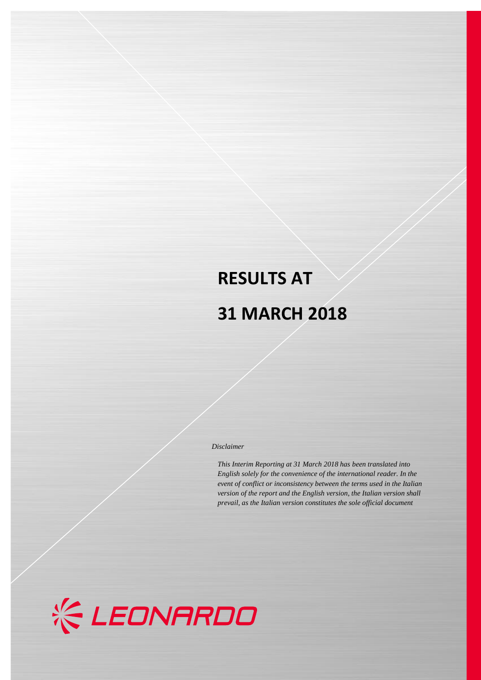# **RESULTS AT 31 MARCH 2018**

#### *Disclaimer*

*This Interim Reporting at 31 March 2018 has been translated into English solely for the convenience of the international reader. In the event of conflict or inconsistency between the terms used in the Italian version of the report and the English version, the Italian version shall prevail, as the Italian version constitutes the sole official document*

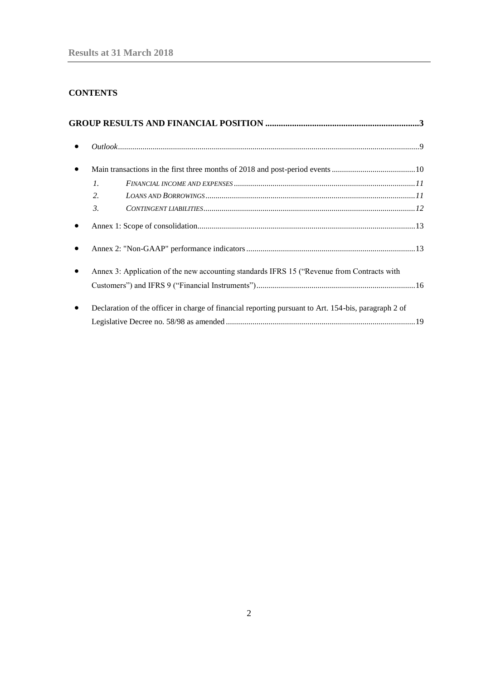## **CONTENTS**

| $\mathcal{I}$ .                                                                                      |  |
|------------------------------------------------------------------------------------------------------|--|
| $\overline{2}$ .                                                                                     |  |
| $\mathfrak{Z}$ .                                                                                     |  |
|                                                                                                      |  |
|                                                                                                      |  |
| Annex 3: Application of the new accounting standards IFRS 15 ("Revenue from Contracts with           |  |
|                                                                                                      |  |
| Declaration of the officer in charge of financial reporting pursuant to Art. 154-bis, paragraph 2 of |  |
|                                                                                                      |  |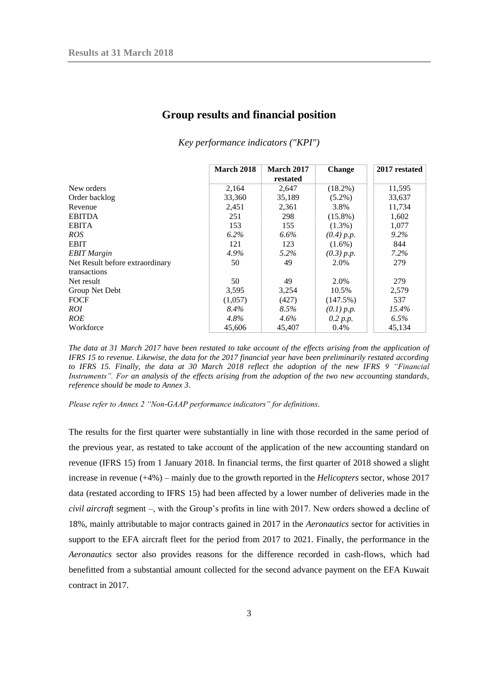<span id="page-2-0"></span>

|                                 | <b>March 2018</b> | <b>March 2017</b> | <b>Change</b> | 2017 restated |
|---------------------------------|-------------------|-------------------|---------------|---------------|
|                                 |                   | restated          |               |               |
| New orders                      | 2,164             | 2,647             | $(18.2\%)$    | 11,595        |
| Order backlog                   | 33,360            | 35,189            | $(5.2\%)$     | 33,637        |
| Revenue                         | 2,451             | 2,361             | 3.8%          | 11,734        |
| <b>EBITDA</b>                   | 251               | 298               | $(15.8\%)$    | 1,602         |
| <b>EBITA</b>                    | 153               | 155               | $(1.3\%)$     | 1,077         |
| ROS                             | $6.2\%$           | $6.6\%$           | (0.4) p.p.    | 9.2%          |
| <b>EBIT</b>                     | 121               | 123               | $(1.6\%)$     | 844           |
| <b>EBIT</b> Margin              | 4.9%              | 5.2%              | (0.3) p.p.    | $7.2\%$       |
| Net Result before extraordinary | 50                | 49                | 2.0%          | 279           |
| transactions                    |                   |                   |               |               |
| Net result                      | 50                | 49                | 2.0%          | 279           |
| Group Net Debt                  | 3,595             | 3,254             | 10.5%         | 2,579         |
| FOCF                            | (1,057)           | (427)             | (147.5%)      | 537           |
| ROI                             | 8.4%              | 8.5%              | (0.1) p.p.    | 15.4%         |
| ROE                             | $4.8\%$           | $4.6\%$           | 0.2 p.p.      | $6.5\%$       |
| Workforce                       | 45,606            | 45,407            | 0.4%          | 45,134        |

### **Group results and financial position**

*Key performance indicators ("KPI")*

*Please refer to Annex 2 "Non-GAAP performance indicators" for definitions.*

The results for the first quarter were substantially in line with those recorded in the same period of the previous year, as restated to take account of the application of the new accounting standard on revenue (IFRS 15) from 1 January 2018. In financial terms, the first quarter of 2018 showed a slight increase in revenue (+4%) – mainly due to the growth reported in the *Helicopters* sector, whose 2017 data (restated according to IFRS 15) had been affected by a lower number of deliveries made in the *civil aircraft* segment –, with the Group's profits in line with 2017. New orders showed a decline of 18%, mainly attributable to major contracts gained in 2017 in the *Aeronautics* sector for activities in support to the EFA aircraft fleet for the period from 2017 to 2021. Finally, the performance in the *Aeronautics* sector also provides reasons for the difference recorded in cash-flows, which had benefitted from a substantial amount collected for the second advance payment on the EFA Kuwait contract in 2017.

*The data at 31 March 2017 have been restated to take account of the effects arising from the application of IFRS 15 to revenue. Likewise, the data for the 2017 financial year have been preliminarily restated according to IFRS 15. Finally, the data at 30 March 2018 reflect the adoption of the new IFRS 9 "Financial Instruments". For an analysis of the effects arising from the adoption of the two new accounting standards, reference should be made to Annex 3.*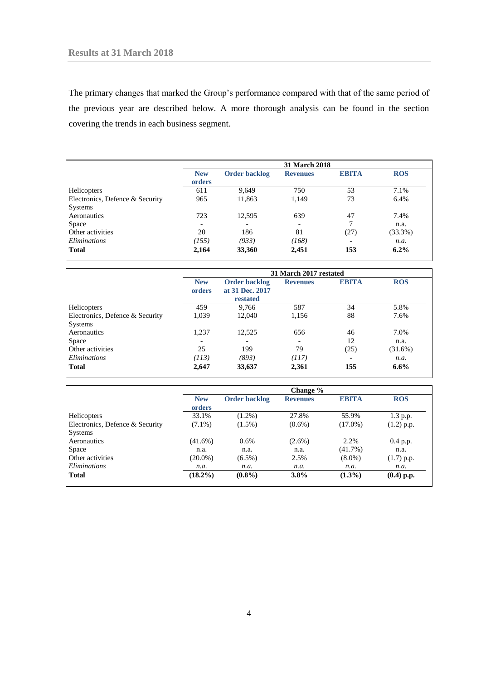The primary changes that marked the Group's performance compared with that of the same period of the previous year are described below. A more thorough analysis can be found in the section covering the trends in each business segment.

|                                            |                      |                      | <b>31 March 2018</b>     |                          |            |
|--------------------------------------------|----------------------|----------------------|--------------------------|--------------------------|------------|
|                                            | <b>New</b><br>orders | <b>Order backlog</b> | <b>Revenues</b>          | <b>EBITA</b>             | <b>ROS</b> |
| Helicopters                                | 611                  | 9,649                | 750                      | 53                       | 7.1%       |
| Electronics, Defence & Security<br>Systems | 965                  | 11,863               | 1,149                    | 73                       | 6.4%       |
| Aeronautics                                | 723                  | 12,595               | 639                      | 47                       | 7.4%       |
| <b>Space</b>                               |                      |                      | $\overline{\phantom{0}}$ | 7                        | n.a.       |
| Other activities                           | 20                   | 186                  | 81                       | (27)                     | $(33.3\%)$ |
| Eliminations                               | (155)                | (933)                | (168)                    | $\overline{\phantom{a}}$ | n.a.       |
| <b>Total</b>                               | 2,164                | 33,360               | 2,451                    | 153                      | $6.2\%$    |

|                                 | 31 March 2017 restated |                                                     |                          |              |            |  |
|---------------------------------|------------------------|-----------------------------------------------------|--------------------------|--------------|------------|--|
|                                 | <b>New</b><br>orders   | <b>Order backlog</b><br>at 31 Dec. 2017<br>restated | <b>Revenues</b>          | <b>EBITA</b> | <b>ROS</b> |  |
| Helicopters                     | 459                    | 9,766                                               | 587                      | 34           | 5.8%       |  |
| Electronics, Defence & Security | 1,039                  | 12.040                                              | 1,156                    | 88           | 7.6%       |  |
| Systems                         |                        |                                                     |                          |              |            |  |
| Aeronautics                     | 1,237                  | 12,525                                              | 656                      | 46           | 7.0%       |  |
| Space                           |                        |                                                     | $\overline{\phantom{0}}$ | 12           | n.a.       |  |
| Other activities                | 25                     | 199                                                 | 79                       | (25)         | $(31.6\%)$ |  |
| Eliminations                    | (113)                  | (893)                                               | (117)                    | -            | n.a.       |  |
| <b>Total</b>                    | 2,647                  | 33,637                                              | 2,361                    | 155          | $6.6\%$    |  |

|                                 |                      |                      | Change %        |              |              |
|---------------------------------|----------------------|----------------------|-----------------|--------------|--------------|
|                                 | <b>New</b><br>orders | <b>Order backlog</b> | <b>Revenues</b> | <b>EBITA</b> | <b>ROS</b>   |
| Helicopters                     | 33.1%                | $(1.2\%)$            | 27.8%           | 55.9%        | 1.3 p.p.     |
| Electronics, Defence & Security | $(7.1\%)$            | $(1.5\%)$            | $(0.6\%)$       | $(17.0\%)$   | $(1.2)$ p.p. |
| <b>Systems</b>                  |                      |                      |                 |              |              |
| Aeronautics                     | $(41.6\%)$           | $0.6\%$              | $(2.6\%)$       | 2.2%         | 0.4 p.p.     |
| Space                           | n.a.                 | n.a.                 | n.a.            | $(41.7\%)$   | n.a.         |
| Other activities                | $(20.0\%)$           | $(6.5\%)$            | 2.5%            | $(8.0\%)$    | $(1.7)$ p.p. |
| Eliminations                    | n.a.                 | n.a.                 | n.a.            | n.a.         | n.a.         |
| <b>Total</b>                    | $(18.2\%)$           | $(0.8\%)$            | 3.8%            | $(1.3\%)$    | $(0.4)$ p.p. |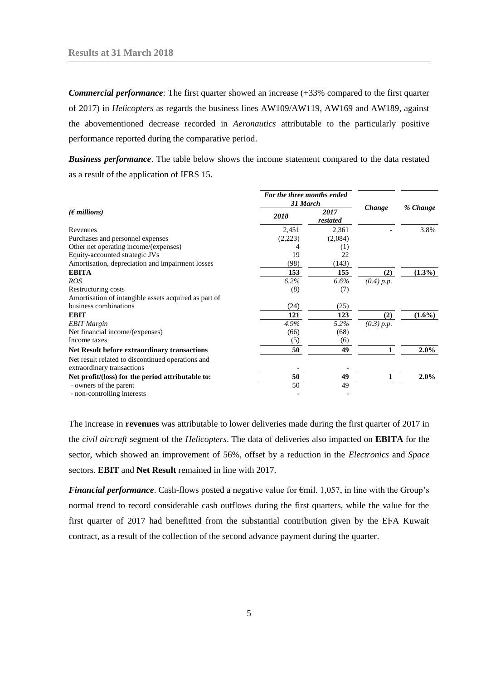*Commercial performance*: The first quarter showed an increase (+33% compared to the first quarter of 2017) in *Helicopters* as regards the business lines AW109/AW119, AW169 and AW189, against the abovementioned decrease recorded in *Aeronautics* attributable to the particularly positive performance reported during the comparative period.

*Business performance*. The table below shows the income statement compared to the data restated as a result of the application of IFRS 15.

|                                                                                 | For the three months ended<br>31 March |                  |            |           |
|---------------------------------------------------------------------------------|----------------------------------------|------------------|------------|-----------|
| $(\epsilon$ millions)                                                           | 2018                                   | 2017<br>restated | Change     | % Change  |
| Revenues                                                                        | 2,451                                  | 2,361            |            | 3.8%      |
| Purchases and personnel expenses                                                | (2,223)                                | (2,084)          |            |           |
| Other net operating income/(expenses)                                           | 4                                      | (1)              |            |           |
| Equity-accounted strategic JVs                                                  | 19                                     | 22               |            |           |
| Amortisation, depreciation and impairment losses                                | (98)                                   | (143)            |            |           |
| <b>EBITA</b>                                                                    | 153                                    | 155              | (2)        | $(1.3\%)$ |
| <b>ROS</b>                                                                      | 6.2%                                   | 6.6%             | (0.4) p.p. |           |
| Restructuring costs<br>Amortisation of intangible assets acquired as part of    | (8)                                    | (7)              |            |           |
| business combinations                                                           | (24)                                   | (25)             |            |           |
| <b>EBIT</b>                                                                     | 121                                    | 123              | (2)        | $(1.6\%)$ |
| <b>EBIT</b> Margin                                                              | 4.9%                                   | 5.2%             | (0.3) p.p. |           |
| Net financial income/(expenses)                                                 | (66)                                   | (68)             |            |           |
| Income taxes                                                                    | (5)                                    | (6)              |            |           |
| <b>Net Result before extraordinary transactions</b>                             | 50                                     | 49               |            | $2.0\%$   |
| Net result related to discontinued operations and<br>extraordinary transactions |                                        |                  |            |           |
| Net profit/(loss) for the period attributable to:                               | 50                                     | 49               |            | $2.0\%$   |
| - owners of the parent                                                          | 50                                     | 49               |            |           |
| - non-controlling interests                                                     |                                        |                  |            |           |

The increase in **revenues** was attributable to lower deliveries made during the first quarter of 2017 in the *civil aircraft* segment of the *Helicopters*. The data of deliveries also impacted on **EBITA** for the sector, which showed an improvement of 56%, offset by a reduction in the *Electronics* and *Space* sectors. **EBIT** and **Net Result** remained in line with 2017.

*Financial performance*. Cash-flows posted a negative value for €mil. 1,057, in line with the Group's normal trend to record considerable cash outflows during the first quarters, while the value for the first quarter of 2017 had benefitted from the substantial contribution given by the EFA Kuwait contract, as a result of the collection of the second advance payment during the quarter.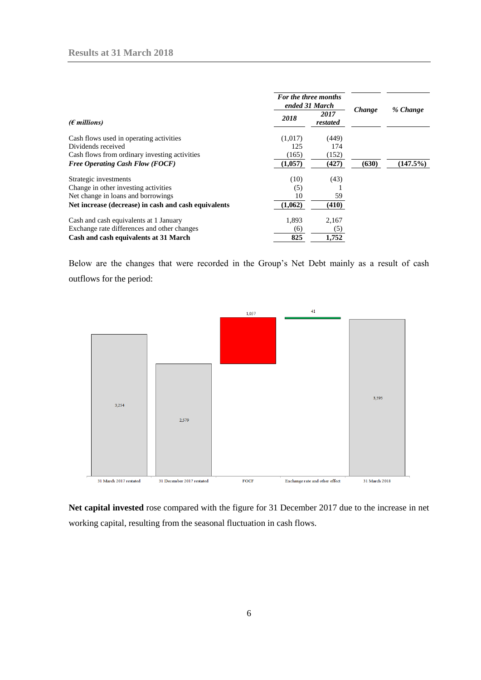|                                                      |         | For the three months<br>ended 31 March |        |          |
|------------------------------------------------------|---------|----------------------------------------|--------|----------|
| $(E$ millions)                                       | 2018    | 2017<br>restated                       | Change | % Change |
| Cash flows used in operating activities              | (1,017) | (449)                                  |        |          |
| Dividends received                                   | 125     | 174                                    |        |          |
| Cash flows from ordinary investing activities        | (165)   | (152)                                  |        |          |
| <b>Free Operating Cash Flow (FOCF)</b>               | (1,057) | (427)                                  | (630)  | (147.5%) |
| Strategic investments                                | (10)    | (43)                                   |        |          |
| Change in other investing activities                 | (5)     |                                        |        |          |
| Net change in loans and borrowings                   | 10      | 59                                     |        |          |
| Net increase (decrease) in cash and cash equivalents | (1,062) | (410)                                  |        |          |
| Cash and cash equivalents at 1 January               | 1,893   | 2,167                                  |        |          |
| Exchange rate differences and other changes          | (6)     | (5)                                    |        |          |
| Cash and cash equivalents at 31 March                | 825     | 1,752                                  |        |          |

Below are the changes that were recorded in the Group's Net Debt mainly as a result of cash outflows for the period:



**Net capital invested** rose compared with the figure for 31 December 2017 due to the increase in net working capital, resulting from the seasonal fluctuation in cash flows.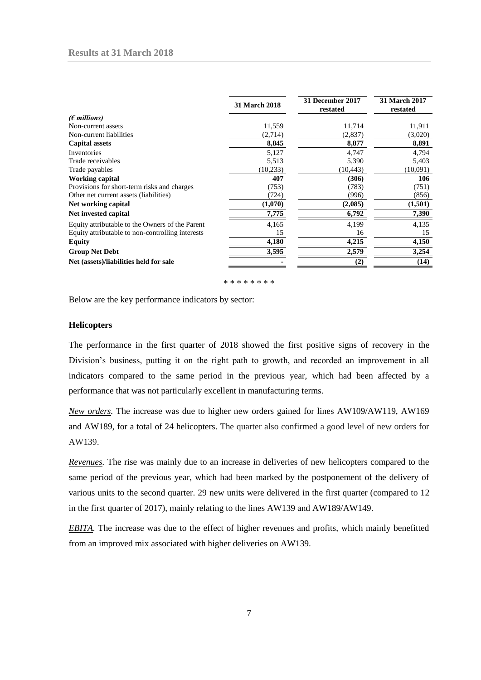|                                                  | <b>31 March 2018</b> | 31 December 2017<br>restated | <b>31 March 2017</b><br>restated |
|--------------------------------------------------|----------------------|------------------------------|----------------------------------|
| $(\epsilon$ millions)                            |                      |                              |                                  |
| Non-current assets                               | 11,559               | 11,714                       | 11,911                           |
| Non-current liabilities                          | (2,714)              | (2,837)                      | (3,020)                          |
| <b>Capital assets</b>                            | 8,845                | 8,877                        | 8,891                            |
| Inventories                                      | 5,127                | 4,747                        | 4,794                            |
| Trade receivables                                | 5,513                | 5,390                        | 5,403                            |
| Trade payables                                   | (10, 233)            | (10, 443)                    | (10,091)                         |
| <b>Working capital</b>                           | 407                  | (306)                        | 106                              |
| Provisions for short-term risks and charges      | (753)                | (783)                        | (751)                            |
| Other net current assets (liabilities)           | (724)                | (996)                        | (856)                            |
| Net working capital                              | (1,070)              | (2,085)                      | (1,501)                          |
| Net invested capital                             | 7,775                | 6,792                        | 7,390                            |
| Equity attributable to the Owners of the Parent  | 4,165                | 4,199                        | 4,135                            |
| Equity attributable to non-controlling interests | 15                   | 16                           | 15                               |
| Equity                                           | 4,180                | 4,215                        | 4,150                            |
| <b>Group Net Debt</b>                            | 3,595                | 2,579                        | 3,254                            |
| Net (assets)/liabilities held for sale           |                      | (2)                          | (14)                             |
|                                                  |                      |                              |                                  |

\* \* \* \* \* \* \*

Below are the key performance indicators by sector:

#### **Helicopters**

The performance in the first quarter of 2018 showed the first positive signs of recovery in the Division's business, putting it on the right path to growth, and recorded an improvement in all indicators compared to the same period in the previous year, which had been affected by a performance that was not particularly excellent in manufacturing terms.

*New orders.* The increase was due to higher new orders gained for lines AW109/AW119, AW169 and AW189, for a total of 24 helicopters. The quarter also confirmed a good level of new orders for AW139.

*Revenues.* The rise was mainly due to an increase in deliveries of new helicopters compared to the same period of the previous year, which had been marked by the postponement of the delivery of various units to the second quarter. 29 new units were delivered in the first quarter (compared to 12 in the first quarter of 2017), mainly relating to the lines AW139 and AW189/AW149.

*EBITA.* The increase was due to the effect of higher revenues and profits, which mainly benefitted from an improved mix associated with higher deliveries on AW139.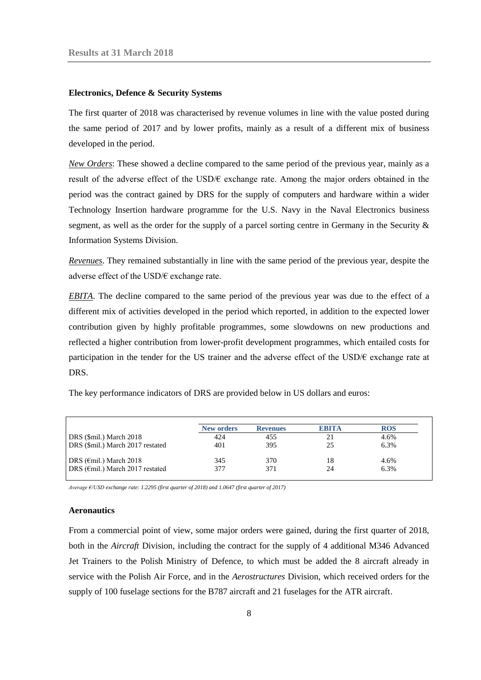#### **Electronics, Defence & Security Systems**

The first quarter of 2018 was characterised by revenue volumes in line with the value posted during the same period of 2017 and by lower profits, mainly as a result of a different mix of business developed in the period.

*New Orders*: These showed a decline compared to the same period of the previous year, mainly as a result of the adverse effect of the USD/€ exchange rate. Among the major orders obtained in the period was the contract gained by DRS for the supply of computers and hardware within a wider Technology Insertion hardware programme for the U.S. Navy in the Naval Electronics business segment, as well as the order for the supply of a parcel sorting centre in Germany in the Security & Information Systems Division.

*Revenues*. They remained substantially in line with the same period of the previous year, despite the adverse effect of the USD/ $\epsilon$  exchange rate.

*EBITA*. The decline compared to the same period of the previous year was due to the effect of a different mix of activities developed in the period which reported, in addition to the expected lower contribution given by highly profitable programmes, some slowdowns on new productions and reflected a higher contribution from lower-profit development programmes, which entailed costs for participation in the tender for the US trainer and the adverse effect of the USD/€ exchange rate at DRS.

|                                            | <b>New orders</b> | <b>Revenues</b> | <b>EBITA</b> | <b>ROS</b> |
|--------------------------------------------|-------------------|-----------------|--------------|------------|
| DRS (\$mil.) March 2018                    | 424               | 455             | 21           | 4.6%       |
| DRS (\$mil.) March 2017 restated           | 401               | 395             | 25           | 6.3%       |
| DRS ( $\epsilon$ mil.) March 2018          | 345               | 370             | 18           | 4.6%       |
| DRS ( $\epsilon$ mil.) March 2017 restated | 377               | 371             | 24           | 6.3%       |

The key performance indicators of DRS are provided below in US dollars and euros:

*Average €/USD exchange rate: 1.2295 (first quarter of 2018) and 1.0647 (first quarter of 2017)*

#### **Aeronautics**

From a commercial point of view, some major orders were gained, during the first quarter of 2018, both in the *Aircraft* Division, including the contract for the supply of 4 additional M346 Advanced Jet Trainers to the Polish Ministry of Defence, to which must be added the 8 aircraft already in service with the Polish Air Force, and in the *Aerostructures* Division, which received orders for the supply of 100 fuselage sections for the B787 aircraft and 21 fuselages for the ATR aircraft.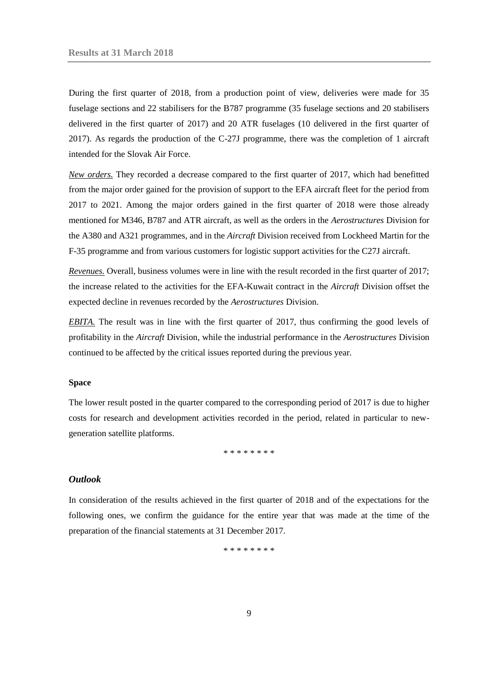During the first quarter of 2018, from a production point of view, deliveries were made for 35 fuselage sections and 22 stabilisers for the B787 programme (35 fuselage sections and 20 stabilisers delivered in the first quarter of 2017) and 20 ATR fuselages (10 delivered in the first quarter of 2017). As regards the production of the C-27J programme, there was the completion of 1 aircraft intended for the Slovak Air Force.

*New orders.* They recorded a decrease compared to the first quarter of 2017, which had benefitted from the major order gained for the provision of support to the EFA aircraft fleet for the period from 2017 to 2021. Among the major orders gained in the first quarter of 2018 were those already mentioned for M346, B787 and ATR aircraft, as well as the orders in the *Aerostructures* Division for the A380 and A321 programmes, and in the *Aircraft* Division received from Lockheed Martin for the F-35 programme and from various customers for logistic support activities for the C27J aircraft.

*Revenues.* Overall, business volumes were in line with the result recorded in the first quarter of 2017; the increase related to the activities for the EFA-Kuwait contract in the *Aircraft* Division offset the expected decline in revenues recorded by the *Aerostructures* Division.

*EBITA.* The result was in line with the first quarter of 2017, thus confirming the good levels of profitability in the *Aircraft* Division, while the industrial performance in the *Aerostructures* Division continued to be affected by the critical issues reported during the previous year.

#### **Space**

The lower result posted in the quarter compared to the corresponding period of 2017 is due to higher costs for research and development activities recorded in the period, related in particular to newgeneration satellite platforms.

\* \* \* \* \* \* \* \*

#### <span id="page-8-0"></span>*Outlook*

In consideration of the results achieved in the first quarter of 2018 and of the expectations for the following ones, we confirm the guidance for the entire year that was made at the time of the preparation of the financial statements at 31 December 2017.

\* \* \* \* \* \* \*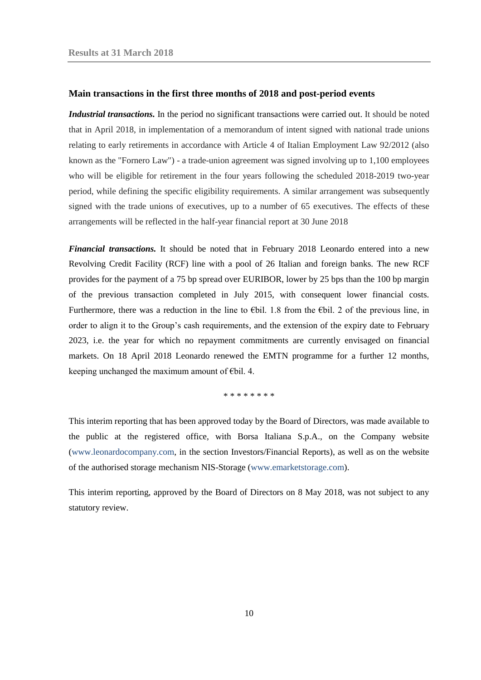#### <span id="page-9-0"></span>**Main transactions in the first three months of 2018 and post-period events**

*Industrial transactions.* In the period no significant transactions were carried out. It should be noted that in April 2018, in implementation of a memorandum of intent signed with national trade unions relating to early retirements in accordance with Article 4 of Italian Employment Law 92/2012 (also known as the "Fornero Law") - a trade-union agreement was signed involving up to 1,100 employees who will be eligible for retirement in the four years following the scheduled 2018-2019 two-year period, while defining the specific eligibility requirements. A similar arrangement was subsequently signed with the trade unions of executives, up to a number of 65 executives. The effects of these arrangements will be reflected in the half-year financial report at 30 June 2018

*Financial transactions.* It should be noted that in February 2018 Leonardo entered into a new Revolving Credit Facility (RCF) line with a pool of 26 Italian and foreign banks. The new RCF provides for the payment of a 75 bp spread over EURIBOR, lower by 25 bps than the 100 bp margin of the previous transaction completed in July 2015, with consequent lower financial costs. Furthermore, there was a reduction in the line to  $\epsilon$ bil. 1.8 from the  $\epsilon$ bil. 2 of the previous line, in order to align it to the Group's cash requirements, and the extension of the expiry date to February 2023, i.e. the year for which no repayment commitments are currently envisaged on financial markets. On 18 April 2018 Leonardo renewed the EMTN programme for a further 12 months, keeping unchanged the maximum amount of €bil. 4.

\* \* \* \* \* \* \* \*

This interim reporting that has been approved today by the Board of Directors, was made available to the public at the registered office, with Borsa Italiana S.p.A., on the Company website [\(www.leonardocompany.com,](http://www.leonardocompany.com/) in the section Investors/Financial Reports), as well as on the website of the authorised storage mechanism NIS-Storage [\(www.emarketstorage.com\)](http://www.emarketstorage.com/).

This interim reporting, approved by the Board of Directors on 8 May 2018, was not subject to any statutory review.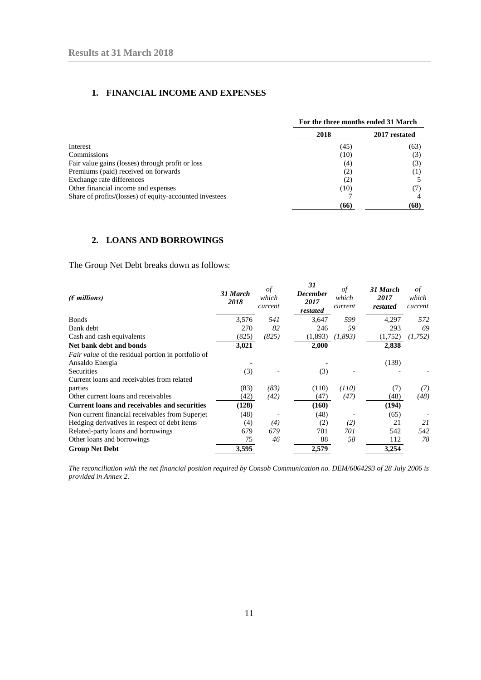#### <span id="page-10-0"></span>**1. FINANCIAL INCOME AND EXPENSES**

|                                                         |      | For the three months ended 31 March |  |  |
|---------------------------------------------------------|------|-------------------------------------|--|--|
|                                                         | 2018 | 2017 restated                       |  |  |
| Interest                                                | (45) | (63)                                |  |  |
| Commissions                                             | (10) | (3)                                 |  |  |
| Fair value gains (losses) through profit or loss        | (4)  | (3)                                 |  |  |
| Premiums (paid) received on forwards                    | (2)  | (1)                                 |  |  |
| Exchange rate differences                               | (2)  |                                     |  |  |
| Other financial income and expenses                     | (10) |                                     |  |  |
| Share of profits/(losses) of equity-accounted investees |      |                                     |  |  |
|                                                         | (66) | (68)                                |  |  |

#### <span id="page-10-1"></span>**2. LOANS AND BORROWINGS**

The Group Net Debt breaks down as follows:

| $(\epsilon$ millions)                                     | 31 March<br>2018 | οf<br>which<br>current | 31<br><b>December</b><br>2017<br>restated | οf<br>which<br>current | 31 March<br>2017<br>restated | of<br>which<br>current |
|-----------------------------------------------------------|------------------|------------------------|-------------------------------------------|------------------------|------------------------------|------------------------|
| <b>Bonds</b>                                              | 3,576            | 541                    | 3,647                                     | 599                    | 4,297                        | 572                    |
| Bank debt                                                 | 270              | 82                     | 246                                       | 59                     | 293                          | 69                     |
| Cash and cash equivalents                                 | (825)            | (825)                  | (1,893)                                   | (1,893)                | (1,752)                      | (1, 752)               |
| Net bank debt and bonds                                   | 3,021            |                        | 2,000                                     |                        | 2,838                        |                        |
| <i>Fair value</i> of the residual portion in portfolio of |                  |                        |                                           |                        |                              |                        |
| Ansaldo Energia                                           |                  |                        |                                           |                        | (139)                        |                        |
| <b>Securities</b>                                         | (3)              |                        | (3)                                       |                        |                              |                        |
| Current loans and receivables from related                |                  |                        |                                           |                        |                              |                        |
| parties                                                   | (83)             | (83)                   | (110)                                     | (110)                  | (7)                          | (7)                    |
| Other current loans and receivables                       | (42)             | (42)                   | (47)                                      | (47)                   | (48)                         | (48)                   |
| <b>Current loans and receivables and securities</b>       | (128)            |                        | (160)                                     |                        | (194)                        |                        |
| Non current financial receivables from Superjet           | (48)             |                        | (48)                                      |                        | (65)                         |                        |
| Hedging derivatives in respect of debt items              | (4)              | (4)                    | (2)                                       | (2)                    | 21                           | 21                     |
| Related-party loans and borrowings                        | 679              | 679                    | 701                                       | 701                    | 542                          | 542                    |
| Other loans and borrowings                                | 75               | 46                     | 88                                        | 58                     | 112                          | 78                     |
| <b>Group Net Debt</b>                                     | 3,595            |                        | 2,579                                     |                        | 3,254                        |                        |

*The reconciliation with the net financial position required by Consob Communication no. DEM/6064293 of 28 July 2006 is provided in Annex 2.*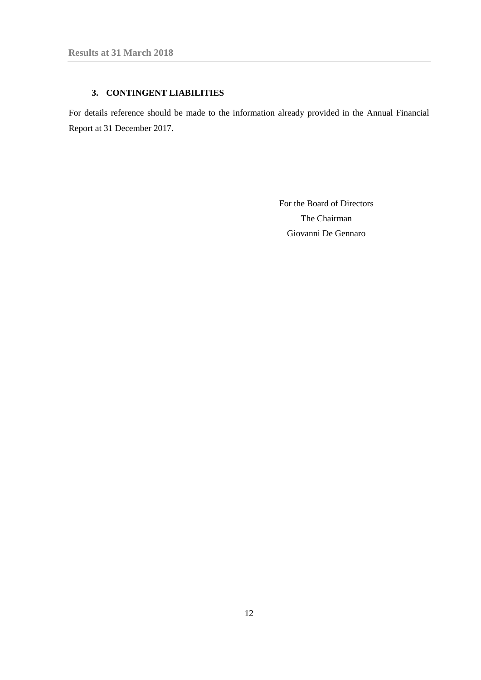## **3. CONTINGENT LIABILITIES**

<span id="page-11-0"></span>For details reference should be made to the information already provided in the Annual Financial Report at 31 December 2017.

> For the Board of Directors The Chairman Giovanni De Gennaro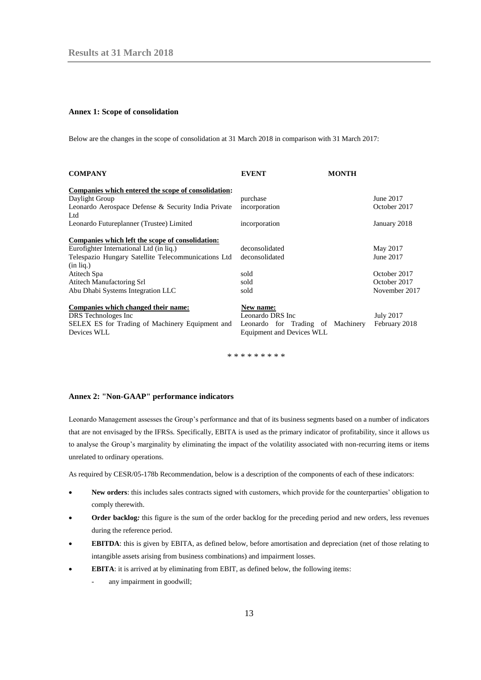#### <span id="page-12-0"></span>**Annex 1: Scope of consolidation**

Below are the changes in the scope of consolidation at 31 March 2018 in comparison with 31 March 2017:

| <b>COMPANY</b>                                             | <b>EVENT</b>                      | <b>MONTH</b> |                  |
|------------------------------------------------------------|-----------------------------------|--------------|------------------|
| Companies which entered the scope of consolidation:        |                                   |              |                  |
| Daylight Group                                             | purchase                          |              | June 2017        |
| Leonardo Aerospace Defense & Security India Private<br>Ltd | incorporation                     |              | October 2017     |
| Leonardo Futureplanner (Trustee) Limited                   | incorporation                     |              | January 2018     |
| Companies which left the scope of consolidation:           |                                   |              |                  |
| Eurofighter International Ltd (in lig.)                    | deconsolidated                    |              | May 2017         |
| Telespazio Hungary Satellite Telecommunications Ltd        | deconsolidated                    |              | June 2017        |
| $(in$ $liq.)$                                              |                                   |              |                  |
| Atitech Spa                                                | sold                              |              | October 2017     |
| Atitech Manufactoring Srl                                  | sold                              |              | October 2017     |
| Abu Dhabi Systems Integration LLC                          | sold                              |              | November 2017    |
| Companies which changed their name:                        | New name:                         |              |                  |
| DRS Technologes Inc                                        | Leonardo DRS Inc                  |              | <b>July 2017</b> |
| SELEX ES for Trading of Machinery Equipment and            | Leonardo for Trading of Machinery |              | February 2018    |
| Devices WLL                                                | <b>Equipment and Devices WLL</b>  |              |                  |

\* \* \* \* \* \* \* \* \*

#### <span id="page-12-1"></span>**Annex 2: "Non-GAAP" performance indicators**

Leonardo Management assesses the Group's performance and that of its business segments based on a number of indicators that are not envisaged by the IFRSs. Specifically, EBITA is used as the primary indicator of profitability, since it allows us to analyse the Group's marginality by eliminating the impact of the volatility associated with non-recurring items or items unrelated to ordinary operations.

As required by CESR/05-178b Recommendation, below is a description of the components of each of these indicators:

- **New orders**: this includes sales contracts signed with customers, which provide for the counterparties' obligation to comply therewith.
- **Order backlog***:* this figure is the sum of the order backlog for the preceding period and new orders, less revenues during the reference period.
- **EBITDA**: this is given by EBITA, as defined below, before amortisation and depreciation (net of those relating to intangible assets arising from business combinations) and impairment losses.
- **EBITA**: it is arrived at by eliminating from EBIT, as defined below, the following items:
	- any impairment in goodwill;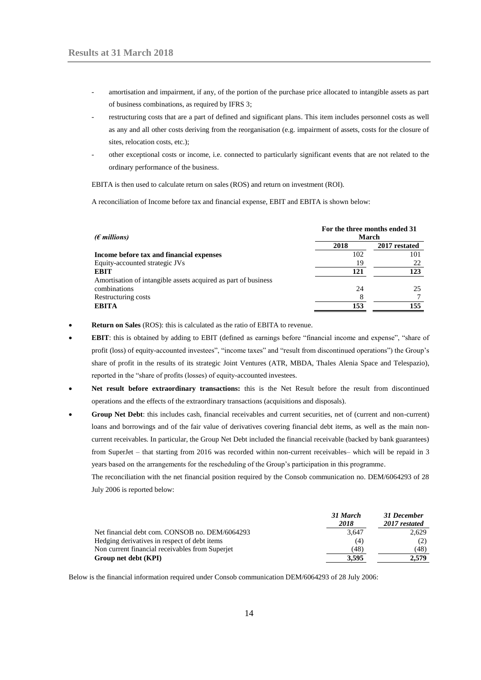- amortisation and impairment, if any, of the portion of the purchase price allocated to intangible assets as part of business combinations, as required by IFRS 3;
- restructuring costs that are a part of defined and significant plans. This item includes personnel costs as well as any and all other costs deriving from the reorganisation (e.g. impairment of assets, costs for the closure of sites, relocation costs, etc.);
- other exceptional costs or income, i.e. connected to particularly significant events that are not related to the ordinary performance of the business.

EBITA is then used to calculate return on sales (ROS) and return on investment (ROI).

A reconciliation of Income before tax and financial expense, EBIT and EBITA is shown below:

| ( $\epsilon$ millions)                                         | For the three months ended 31<br>March |               |  |
|----------------------------------------------------------------|----------------------------------------|---------------|--|
|                                                                | 2018                                   | 2017 restated |  |
| Income before tax and financial expenses                       | 102                                    | 101           |  |
| Equity-accounted strategic JVs                                 | 19                                     | 22            |  |
| <b>EBIT</b>                                                    | 121                                    | 123           |  |
| Amortisation of intangible assets acquired as part of business |                                        |               |  |
| combinations                                                   | 24                                     | 25            |  |
| Restructuring costs                                            | 8                                      |               |  |
| <b>EBITA</b>                                                   | 153                                    | 155           |  |

- **Return on Sales** (ROS): this is calculated as the ratio of EBITA to revenue.
- **EBIT**: this is obtained by adding to EBIT (defined as earnings before "financial income and expense", "share of profit (loss) of equity-accounted investees", "income taxes" and "result from discontinued operations") the Group's share of profit in the results of its strategic Joint Ventures (ATR, MBDA, Thales Alenia Space and Telespazio), reported in the "share of profits (losses) of equity-accounted investees.
- **Net result before extraordinary transactions:** this is the Net Result before the result from discontinued operations and the effects of the extraordinary transactions (acquisitions and disposals).
- **Group Net Debt**: this includes cash, financial receivables and current securities, net of (current and non-current) loans and borrowings and of the fair value of derivatives covering financial debt items, as well as the main noncurrent receivables. In particular, the Group Net Debt included the financial receivable (backed by bank guarantees) from SuperJet – that starting from 2016 was recorded within non-current receivables– which will be repaid in 3 years based on the arrangements for the rescheduling of the Group's participation in this programme.

The reconciliation with the net financial position required by the Consob communication no. DEM/6064293 of 28 July 2006 is reported below:

|                                                 | 31 March<br>2018 | 31 December<br>2017 restated |
|-------------------------------------------------|------------------|------------------------------|
| Net financial debt com. CONSOB no. DEM/6064293  | 3,647            | 2,629                        |
| Hedging derivatives in respect of debt items    | (4)              |                              |
| Non current financial receivables from Superjet | (48)             | (48)                         |
| Group net debt (KPI)                            | 3.595            | 2.579                        |

Below is the financial information required under Consob communication DEM/6064293 of 28 July 2006: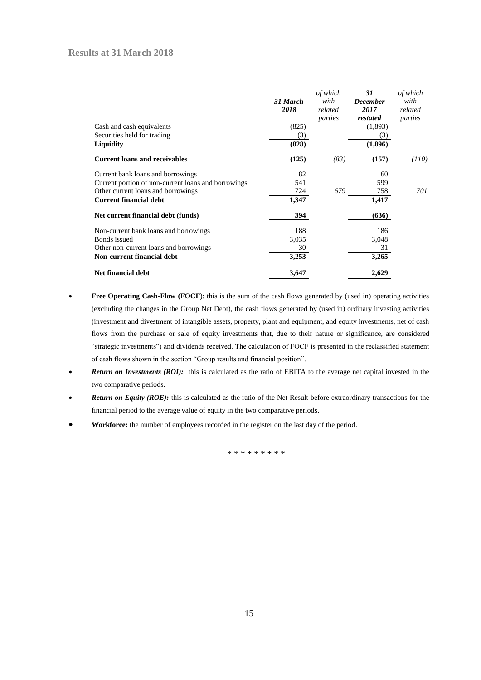|                                                     | 31 March<br>2018 | of which<br>with<br>related<br>parties | 31<br><b>December</b><br>2017<br>restated | of which<br>with<br>related<br>parties |
|-----------------------------------------------------|------------------|----------------------------------------|-------------------------------------------|----------------------------------------|
| Cash and cash equivalents                           | (825)            |                                        | (1,893)                                   |                                        |
| Securities held for trading                         | (3)              |                                        | (3)                                       |                                        |
| Liquidity                                           | (828)            |                                        | (1,896)                                   |                                        |
| <b>Current loans and receivables</b>                | (125)            | (83)                                   | (157)                                     | (110)                                  |
| Current bank loans and borrowings                   | 82               |                                        | 60                                        |                                        |
| Current portion of non-current loans and borrowings | 541              |                                        | 599                                       |                                        |
| Other current loans and borrowings                  | 724              | 679                                    | 758                                       | 701                                    |
| <b>Current financial debt</b>                       | 1,347            |                                        | 1,417                                     |                                        |
| Net current financial debt (funds)                  | 394              |                                        | (636)                                     |                                        |
| Non-current bank loans and borrowings               | 188              |                                        | 186                                       |                                        |
| Bonds issued                                        | 3,035            |                                        | 3,048                                     |                                        |
| Other non-current loans and borrowings              | 30               |                                        | 31                                        |                                        |
| <b>Non-current financial debt</b>                   | 3,253            |                                        | 3,265                                     |                                        |
| <b>Net financial debt</b>                           | 3,647            |                                        | 2,629                                     |                                        |

- **Free Operating Cash-Flow (FOCF)**: this is the sum of the cash flows generated by (used in) operating activities (excluding the changes in the Group Net Debt), the cash flows generated by (used in) ordinary investing activities (investment and divestment of intangible assets, property, plant and equipment, and equity investments, net of cash flows from the purchase or sale of equity investments that, due to their nature or significance, are considered "strategic investments") and dividends received. The calculation of FOCF is presented in the reclassified statement of cash flows shown in the section "Group results and financial position".
- **Return on Investments (ROI):** this is calculated as the ratio of EBITA to the average net capital invested in the two comparative periods.
- *Return on Equity (ROE):* this is calculated as the ratio of the Net Result before extraordinary transactions for the financial period to the average value of equity in the two comparative periods.
- **Workforce:** the number of employees recorded in the register on the last day of the period.

\* \* \* \* \* \* \* \* \*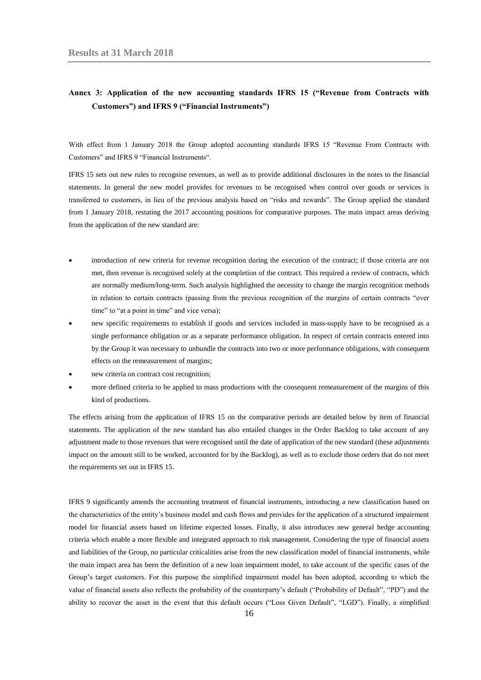## <span id="page-15-0"></span>**Annex 3: Application of the new accounting standards IFRS 15 ("Revenue from Contracts with Customers") and IFRS 9 ("Financial Instruments")**

With effect from 1 January 2018 the Group adopted accounting standards IFRS 15 "Revenue From Contracts with Customers" and IFRS 9 "Financial Instruments".

IFRS 15 sets out new rules to recognise revenues, as well as to provide additional disclosures in the notes to the financial statements. In general the new model provides for revenues to be recognised when control over goods or services is transferred to customers, in lieu of the previous analysis based on "risks and rewards". The Group applied the standard from 1 January 2018, restating the 2017 accounting positions for comparative purposes. The main impact areas deriving from the application of the new standard are:

- introduction of new criteria for revenue recognition during the execution of the contract; if those criteria are not met, then revenue is recognised solely at the completion of the contract. This required a review of contracts, which are normally medium/long-term. Such analysis highlighted the necessity to change the margin recognition methods in relation to certain contracts (passing from the previous recognition of the margins of certain contracts "over time" to "at a point in time" and vice versa);
- new specific requirements to establish if goods and services included in mass-supply have to be recognised as a single performance obligation or as a separate performance obligation. In respect of certain contracts entered into by the Group it was necessary to unbundle the contracts into two or more performance obligations, with consequent effects on the remeasurement of margins;
- new criteria on contract cost recognition;
- more defined criteria to be applied to mass productions with the consequent remeasurement of the margins of this kind of productions.

The effects arising from the application of IFRS 15 on the comparative periods are detailed below by item of financial statements. The application of the new standard has also entailed changes in the Order Backlog to take account of any adjustment made to those revenues that were recognised until the date of application of the new standard (these adjustments impact on the amount still to be worked, accounted for by the Backlog), as well as to exclude those orders that do not meet the requirements set out in IFRS 15.

IFRS 9 significantly amends the accounting treatment of financial instruments, introducing a new classification based on the characteristics of the entity's business model and cash flows and provides for the application of a structured impairment model for financial assets based on lifetime expected losses. Finally, it also introduces new general hedge accounting criteria which enable a more flexible and integrated approach to risk management. Considering the type of financial assets and liabilities of the Group, no particular criticalities arise from the new classification model of financial instruments, while the main impact area has been the definition of a new loan impairment model, to take account of the specific cases of the Group's target customers. For this purpose the simplified impairment model has been adopted, according to which the value of financial assets also reflects the probability of the counterparty's default ("Probability of Default", "PD") and the ability to recover the asset in the event that this default occurs ("Loss Given Default", "LGD"). Finally, a simplified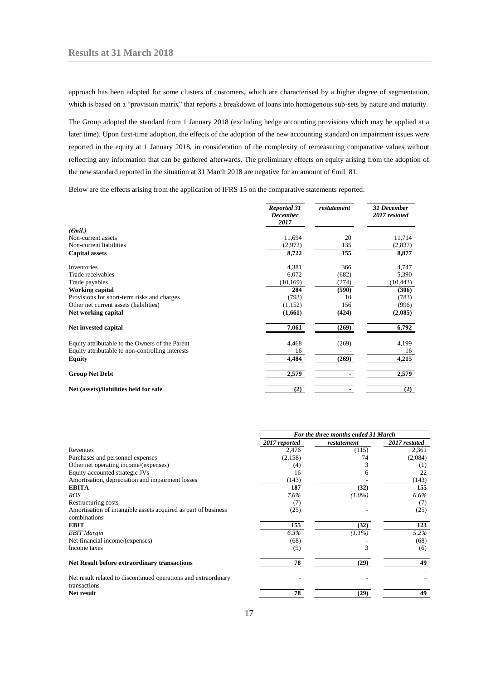approach has been adopted for some clusters of customers, which are characterised by a higher degree of segmentation, which is based on a "provision matrix" that reports a breakdown of loans into homogenous sub-sets by nature and maturity.

The Group adopted the standard from 1 January 2018 (excluding hedge accounting provisions which may be applied at a later time). Upon first-time adoption, the effects of the adoption of the new accounting standard on impairment issues were reported in the equity at 1 January 2018, in consideration of the complexity of remeasuring comparative values without reflecting any information that can be gathered afterwards. The preliminary effects on equity arising from the adoption of the new standard reported in the situation at 31 March 2018 are negative for an amount of €mil. 81.

Below are the effects arising from the application of IFRS 15 on the comparative statements reported:

|                                                  | <b>Reported 31</b><br><b>December</b><br>2017 | restatement | <b>31 December</b><br>2017 restated |
|--------------------------------------------------|-----------------------------------------------|-------------|-------------------------------------|
| $(\epsilon$ mil.)                                |                                               |             |                                     |
| Non-current assets                               | 11,694                                        | 20          | 11,714                              |
| Non-current liabilities                          | (2,972)                                       | 135         | (2,837)                             |
| <b>Capital assets</b>                            | 8,722                                         | 155         | 8,877                               |
| Inventories                                      | 4,381                                         | 366         | 4,747                               |
| Trade receivables                                | 6,072                                         | (682)       | 5,390                               |
| Trade payables                                   | (10, 169)                                     | (274)       | (10, 443)                           |
| <b>Working capital</b>                           | 284                                           | (590)       | (306)                               |
| Provisions for short-term risks and charges      | (793)                                         | 10          | (783)                               |
| Other net current assets (liabilities)           | (1,152)                                       | 156         | (996)                               |
| Net working capital                              | (1,661)                                       | (424)       | (2,085)                             |
| Net invested capital                             | 7,061                                         | (269)       | 6,792                               |
| Equity attributable to the Owners of the Parent  | 4,468                                         | (269)       | 4,199                               |
| Equity attributable to non-controlling interests | 16                                            |             | 16                                  |
| Equity                                           | 4,484                                         | (269)       | 4,215                               |
| <b>Group Net Debt</b>                            | 2,579                                         |             | 2,579                               |
| Net (assets)/liabilities held for sale           | (2)                                           |             | (2)                                 |

|                                                                                 | For the three months ended 31 March |             |               |
|---------------------------------------------------------------------------------|-------------------------------------|-------------|---------------|
|                                                                                 | 2017 reported                       | restatement | 2017 restated |
| Revenues                                                                        | 2,476                               | (115)       | 2,361         |
| Purchases and personnel expenses                                                | (2,158)                             | 74          | (2,084)       |
| Other net operating income/(expenses)                                           | (4)                                 |             | (1)           |
| Equity-accounted strategic JVs                                                  | 16                                  |             | 22            |
| Amortisation, depreciation and impairment losses                                | (143)                               |             | (143)         |
| EBITA                                                                           | 187                                 | (32)        | 155           |
| ROS                                                                             | 7.6%                                | $(1.0\%)$   | $6.6\%$       |
| Restructuring costs                                                             | (7)                                 |             | (7)           |
| Amortisation of intangible assets acquired as part of business<br>combinations  | (25)                                |             | (25)          |
| EBIT                                                                            | 155                                 | (32)        | 123           |
| <b>EBIT Margin</b>                                                              | 6.3%                                | $(1.1\%)$   | $5.2\%$       |
| Net financial income/(expenses)                                                 | (68)                                |             | (68)          |
| Income taxes                                                                    | (9)                                 |             | (6)           |
| Net Result before extraordinary transactions                                    | 78                                  | (29)        | 49            |
| Net result related to discontinued operations and extraordinary<br>transactions |                                     |             |               |
| Net result                                                                      | 78                                  | (29)        | 49            |

17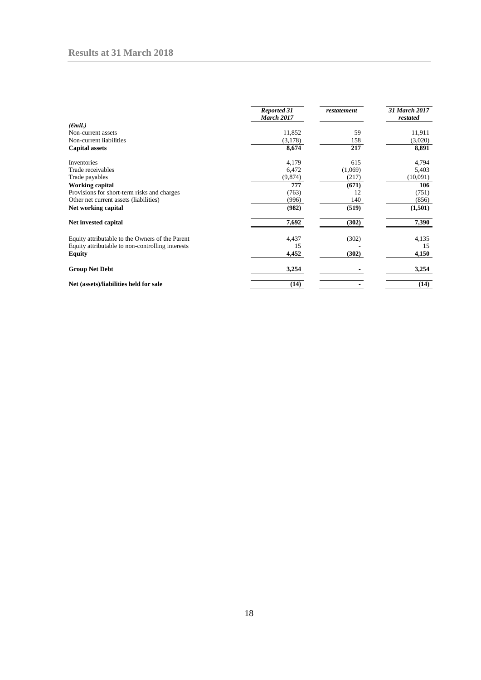|                                                  | <b>Reported 31</b><br><b>March 2017</b> | restatement | 31 March 2017<br>restated |
|--------------------------------------------------|-----------------------------------------|-------------|---------------------------|
| ( <del>C</del> mil.)                             |                                         |             |                           |
| Non-current assets                               | 11,852                                  | 59          | 11,911                    |
| Non-current liabilities                          | (3,178)                                 | 158         | (3,020)                   |
| <b>Capital assets</b>                            | 8,674                                   | 217         | 8,891                     |
| Inventories                                      | 4,179                                   | 615         | 4,794                     |
| Trade receivables                                | 6,472                                   | (1,069)     | 5,403                     |
| Trade payables                                   | (9,874)                                 | (217)       | (10,091)                  |
| <b>Working capital</b>                           | 777                                     | (671)       | 106                       |
| Provisions for short-term risks and charges      | (763)                                   | 12          | (751)                     |
| Other net current assets (liabilities)           | (996)                                   | 140         | (856)                     |
| Net working capital                              | (982)                                   | (519)       | (1,501)                   |
| Net invested capital                             | 7,692                                   | (302)       | 7,390                     |
| Equity attributable to the Owners of the Parent  | 4,437                                   | (302)       | 4,135                     |
| Equity attributable to non-controlling interests | 15                                      |             | 15                        |
| <b>Equity</b>                                    | 4,452                                   | (302)       | 4,150                     |
| <b>Group Net Debt</b>                            | 3,254                                   |             | 3,254                     |
| Net (assets)/liabilities held for sale           | (14)                                    |             | (14)                      |